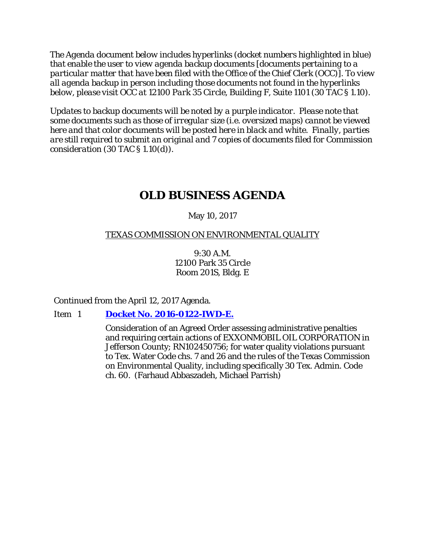*The Agenda document below includes hyperlinks (docket numbers highlighted in blue) that enable the user to view agenda backup documents [documents pertaining to a particular matter that have been filed with the Office of the Chief Clerk (OCC)]. To view all agenda backup in person including those documents not found in the hyperlinks below, please visit OCC at 12100 Park 35 Circle, Building F, Suite 1101 (30 TAC § 1.10).*

*Updates to backup documents will be noted by a purple indicator. Please note that some documents such as those of irregular size (i.e. oversized maps) cannot be viewed here and that color documents will be posted here in black and white. Finally, parties are still required to submit an original and 7 copies of documents filed for Commission consideration (30 TAC § 1.10(d)).*

# **OLD BUSINESS AGENDA**

# May 10, 2017

# TEXAS COMMISSION ON ENVIRONMENTAL QUALITY

9:30 A.M. 12100 Park 35 Circle Room 201S, Bldg. E

Continued from the April 12, 2017 Agenda.

## Item 1 **[Docket No. 2016-0122-IWD-E.](http://www.tceq.texas.gov/assets/public/comm_exec/agendas/comm/backup/Agendas/2017/05-10-2017/0122IWD.pdf)**

Consideration of an Agreed Order assessing administrative penalties and requiring certain actions of EXXONMOBIL OIL CORPORATION in Jefferson County; RN102450756; for water quality violations pursuant to Tex. Water Code chs. 7 and 26 and the rules of the Texas Commission on Environmental Quality, including specifically 30 Tex. Admin. Code ch. 60. (Farhaud Abbaszadeh, Michael Parrish)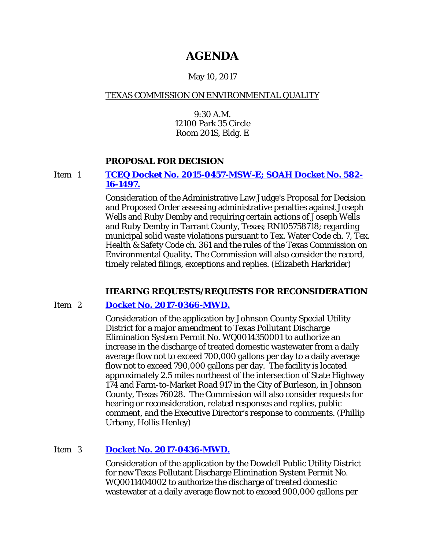# **AGENDA**

# May 10, 2017

## TEXAS COMMISSION ON ENVIRONMENTAL QUALITY

9:30 A.M. 12100 Park 35 Circle Room 201S, Bldg. E

## **PROPOSAL FOR DECISION**

#### Item 1 **[TCEQ Docket No. 2015-0457-MSW-E; SOAH Docket No. 582-](http://www.tceq.texas.gov/assets/public/comm_exec/agendas/comm/backup/Agendas/2017/05-10-2017/wells.pdf) [16-1497.](http://www.tceq.texas.gov/assets/public/comm_exec/agendas/comm/backup/Agendas/2017/05-10-2017/wells.pdf)**

Consideration of the Administrative Law Judge's Proposal for Decision and Proposed Order assessing administrative penalties against Joseph Wells and Ruby Demby and requiring certain actions of Joseph Wells and Ruby Demby in Tarrant County, Texas; RN105758718; regarding municipal solid waste violations pursuant to Tex. Water Code ch. 7, Tex. Health & Safety Code ch. 361 and the rules of the Texas Commission on Environmental Quality**.** The Commission will also consider the record, timely related filings, exceptions and replies. (Elizabeth Harkrider)

## **HEARING REQUESTS/REQUESTS FOR RECONSIDERATION**

# Item 2 **[Docket No. 2017-0366-MWD.](http://www.tceq.texas.gov/assets/public/comm_exec/agendas/comm/backup/Agendas/2017/05-10-2017/johnsonsud.pdf)**

Consideration of the application by Johnson County Special Utility District for a major amendment to Texas Pollutant Discharge Elimination System Permit No. WQ0014350001 to authorize an increase in the discharge of treated domestic wastewater from a daily average flow not to exceed 700,000 gallons per day to a daily average flow not to exceed 790,000 gallons per day. The facility is located approximately 2.5 miles northeast of the intersection of State Highway 174 and Farm-to-Market Road 917 in the City of Burleson, in Johnson County, Texas 76028. The Commission will also consider requests for hearing or reconsideration, related responses and replies, public comment, and the Executive Director's response to comments. (Phillip Urbany, Hollis Henley)

# Item 3 **[Docket No. 2017-0436-MWD.](http://www.tceq.texas.gov/assets/public/comm_exec/agendas/comm/backup/Agendas/2017/05-10-2017/dowdell.pdf)**

Consideration of the application by the Dowdell Public Utility District for new Texas Pollutant Discharge Elimination System Permit No. WQ0011404002 to authorize the discharge of treated domestic wastewater at a daily average flow not to exceed 900,000 gallons per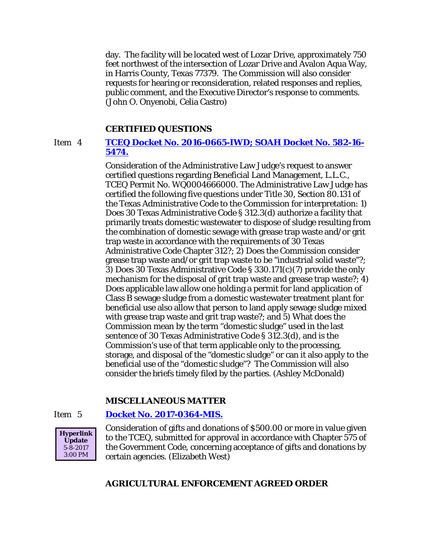day. The facility will be located west of Lozar Drive, approximately 750 feet northwest of the intersection of Lozar Drive and Avalon Aqua Way, in Harris County, Texas 77379. The Commission will also consider requests for hearing or reconsideration, related responses and replies, public comment, and the Executive Director's response to comments. (John O. Onyenobi, Celia Castro)

#### **CERTIFIED QUESTIONS**

#### Item 4 **TCEQ Docket No. [2016-0665-IWD; SOAH Docket No. 582-16-](http://www.tceq.texas.gov/assets/public/comm_exec/agendas/comm/backup/Agendas/2017/05-10-2017/blm.pdf) [5474.](http://www.tceq.texas.gov/assets/public/comm_exec/agendas/comm/backup/Agendas/2017/05-10-2017/blm.pdf)**

Consideration of the Administrative Law Judge's request to answer certified questions regarding Beneficial Land Management, L.L.C., TCEQ Permit No. WQ0004666000. The Administrative Law Judge has certified the following five questions under Title 30, Section 80.131 of the Texas Administrative Code to the Commission for interpretation: 1) Does 30 Texas Administrative Code § 312.3(d) authorize a facility that primarily treats domestic wastewater to dispose of sludge resulting from the combination of domestic sewage with grease trap waste and/or grit trap waste in accordance with the requirements of 30 Texas Administrative Code Chapter 312?; 2) Does the Commission consider grease trap waste and/or grit trap waste to be "industrial solid waste"?; 3) Does 30 Texas Administrative Code § 330.171(c)(7) provide the only mechanism for the disposal of grit trap waste and grease trap waste?; 4) Does applicable law allow one holding a permit for land application of Class B sewage sludge from a domestic wastewater treatment plant for beneficial use also allow that person to land apply sewage sludge mixed with grease trap waste and grit trap waste?; and 5) What does the Commission mean by the term "domestic sludge" used in the last sentence of 30 Texas Administrative Code § 312.3(d), and is the Commission's use of that term applicable only to the processing, storage, and disposal of the "domestic sludge" or can it also apply to the beneficial use of the "domestic sludge"? The Commission will also consider the briefs timely filed by the parties. (Ashley McDonald)

#### **MISCELLANEOUS MATTER**

#### Item 5 **[Docket No. 2017-0364-MIS.](http://www.tceq.texas.gov/assets/public/comm_exec/agendas/comm/backup/Agendas/2017/05-10-2017/0364MIS.pdf)**



Consideration of gifts and donations of \$500.00 or more in value given to the TCEQ, submitted for approval in accordance with Chapter 575 of the Government Code, concerning acceptance of gifts and donations by certain agencies. (Elizabeth West)

#### **AGRICULTURAL ENFORCEMENT AGREED ORDER**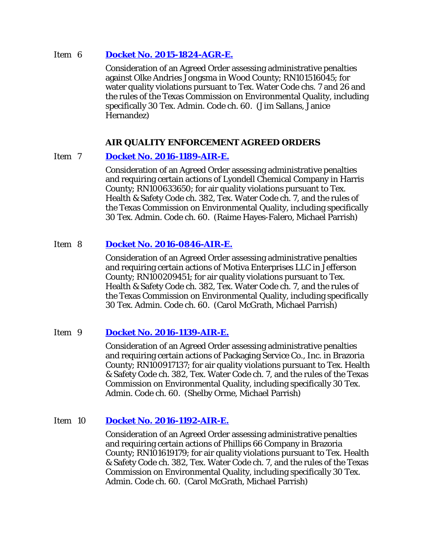#### Item 6 **[Docket No. 2015-1824-AGR-E.](http://www.tceq.texas.gov/assets/public/comm_exec/agendas/comm/backup/Agendas/2017/05-10-2017/1824AGR.pdf)**

Consideration of an Agreed Order assessing administrative penalties against Olke Andries Jongsma in Wood County; RN101516045; for water quality violations pursuant to Tex. Water Code chs. 7 and 26 and the rules of the Texas Commission on Environmental Quality, including specifically 30 Tex. Admin. Code ch. 60. (Jim Sallans, Janice Hernandez)

## **AIR QUALITY ENFORCEMENT AGREED ORDERS**

## Item 7 **[Docket No. 2016-1189-AIR-E.](http://www.tceq.texas.gov/assets/public/comm_exec/agendas/comm/backup/Agendas/2017/05-10-2017/1189AIR.pdf)**

Consideration of an Agreed Order assessing administrative penalties and requiring certain actions of Lyondell Chemical Company in Harris County; RN100633650; for air quality violations pursuant to Tex. Health & Safety Code ch. 382, Tex. Water Code ch. 7, and the rules of the Texas Commission on Environmental Quality, including specifically 30 Tex. Admin. Code ch. 60. (Raime Hayes-Falero, Michael Parrish)

# Item 8 **[Docket No. 2016-0846-AIR-E.](http://www.tceq.texas.gov/assets/public/comm_exec/agendas/comm/backup/Agendas/2017/05-10-2017/0846AIR.pdf)**

Consideration of an Agreed Order assessing administrative penalties and requiring certain actions of Motiva Enterprises LLC in Jefferson County; RN100209451; for air quality violations pursuant to Tex. Health & Safety Code ch. 382, Tex. Water Code ch. 7, and the rules of the Texas Commission on Environmental Quality, including specifically 30 Tex. Admin. Code ch. 60. (Carol McGrath, Michael Parrish)

## Item 9 **[Docket No. 2016-1139-AIR-E.](http://www.tceq.texas.gov/assets/public/comm_exec/agendas/comm/backup/Agendas/2017/05-10-2017/1139AIR.pdf)**

Consideration of an Agreed Order assessing administrative penalties and requiring certain actions of Packaging Service Co., Inc. in Brazoria County; RN100917137; for air quality violations pursuant to Tex. Health & Safety Code ch. 382, Tex. Water Code ch. 7, and the rules of the Texas Commission on Environmental Quality, including specifically 30 Tex. Admin. Code ch. 60. (Shelby Orme, Michael Parrish)

## Item 10 **[Docket No. 2016-1192-AIR-E.](http://www.tceq.texas.gov/assets/public/comm_exec/agendas/comm/backup/Agendas/2017/05-10-2017/1192AIR.pdf)**

Consideration of an Agreed Order assessing administrative penalties and requiring certain actions of Phillips 66 Company in Brazoria County; RN101619179; for air quality violations pursuant to Tex. Health & Safety Code ch. 382, Tex. Water Code ch. 7, and the rules of the Texas Commission on Environmental Quality, including specifically 30 Tex. Admin. Code ch. 60. (Carol McGrath, Michael Parrish)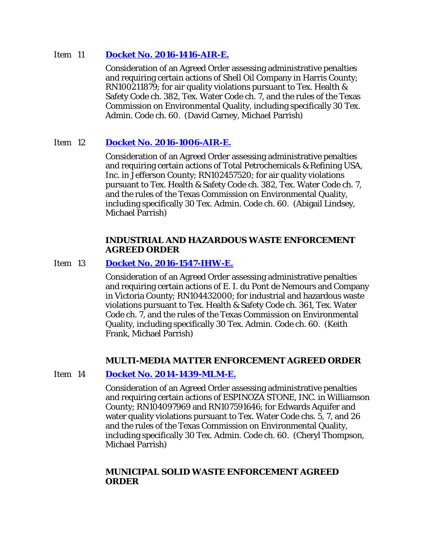#### Item 11 **[Docket No. 2016-1416-AIR-E.](http://www.tceq.texas.gov/assets/public/comm_exec/agendas/comm/backup/Agendas/2017/05-10-2017/1416AIR.pdf)**

Consideration of an Agreed Order assessing administrative penalties and requiring certain actions of Shell Oil Company in Harris County; RN100211879; for air quality violations pursuant to Tex. Health & Safety Code ch. 382, Tex. Water Code ch. 7, and the rules of the Texas Commission on Environmental Quality, including specifically 30 Tex. Admin. Code ch. 60. (David Carney, Michael Parrish)

## Item 12 **[Docket No. 2016-1006-AIR-E.](http://www.tceq.texas.gov/assets/public/comm_exec/agendas/comm/backup/Agendas/2017/05-10-2017/1006AIR.pdf)**

Consideration of an Agreed Order assessing administrative penalties and requiring certain actions of Total Petrochemicals & Refining USA, Inc. in Jefferson County; RN102457520; for air quality violations pursuant to Tex. Health & Safety Code ch. 382, Tex. Water Code ch. 7, and the rules of the Texas Commission on Environmental Quality, including specifically 30 Tex. Admin. Code ch. 60. (Abigail Lindsey, Michael Parrish)

#### **INDUSTRIAL AND HAZARDOUS WASTE ENFORCEMENT AGREED ORDER**

#### Item 13 **[Docket No. 2016-1547-IHW-E.](http://www.tceq.texas.gov/assets/public/comm_exec/agendas/comm/backup/Agendas/2017/05-10-2017/1547IHW.pdf)**

Consideration of an Agreed Order assessing administrative penalties and requiring certain actions of E. I. du Pont de Nemours and Company in Victoria County; RN104432000; for industrial and hazardous waste violations pursuant to Tex. Health & Safety Code ch. 361, Tex. Water Code ch. 7, and the rules of the Texas Commission on Environmental Quality, including specifically 30 Tex. Admin. Code ch. 60. (Keith Frank, Michael Parrish)

#### **MULTI-MEDIA MATTER ENFORCEMENT AGREED ORDER**

#### Item 14 **[Docket No. 2014-1439-MLM-E.](http://www.tceq.texas.gov/assets/public/comm_exec/agendas/comm/backup/Agendas/2017/05-10-2017/1439MLM.pdf)**

Consideration of an Agreed Order assessing administrative penalties and requiring certain actions of ESPINOZA STONE, INC. in Williamson County; RN104097969 and RN107591646; for Edwards Aquifer and water quality violations pursuant to Tex. Water Code chs. 5, 7, and 26 and the rules of the Texas Commission on Environmental Quality, including specifically 30 Tex. Admin. Code ch. 60. (Cheryl Thompson, Michael Parrish)

#### **MUNICIPAL SOLID WASTE ENFORCEMENT AGREED ORDER**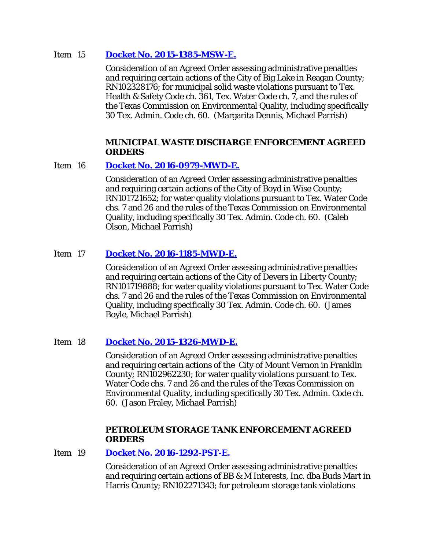#### Item 15 **[Docket No. 2015-1385-MSW-E.](http://www.tceq.texas.gov/assets/public/comm_exec/agendas/comm/backup/Agendas/2017/05-10-2017/1385MSW.pdf)**

Consideration of an Agreed Order assessing administrative penalties and requiring certain actions of the City of Big Lake in Reagan County; RN102328176; for municipal solid waste violations pursuant to Tex. Health & Safety Code ch. 361, Tex. Water Code ch. 7, and the rules of the Texas Commission on Environmental Quality, including specifically 30 Tex. Admin. Code ch. 60. (Margarita Dennis, Michael Parrish)

#### **MUNICIPAL WASTE DISCHARGE ENFORCEMENT AGREED ORDERS**

## Item 16 **[Docket No. 2016-0979-MWD-E.](http://www.tceq.texas.gov/assets/public/comm_exec/agendas/comm/backup/Agendas/2017/05-10-2017/0979MWD.pdf)**

Consideration of an Agreed Order assessing administrative penalties and requiring certain actions of the City of Boyd in Wise County; RN101721652; for water quality violations pursuant to Tex. Water Code chs. 7 and 26 and the rules of the Texas Commission on Environmental Quality, including specifically 30 Tex. Admin. Code ch. 60. (Caleb Olson, Michael Parrish)

# Item 17 **[Docket No. 2016-1185-MWD-E.](http://www.tceq.texas.gov/assets/public/comm_exec/agendas/comm/backup/Agendas/2017/05-10-2017/1185MWD.pdf)**

Consideration of an Agreed Order assessing administrative penalties and requiring certain actions of the City of Devers in Liberty County; RN101719888; for water quality violations pursuant to Tex. Water Code chs. 7 and 26 and the rules of the Texas Commission on Environmental Quality, including specifically 30 Tex. Admin. Code ch. 60. (James Boyle, Michael Parrish)

## Item 18 **[Docket No. 2015-1326-MWD-E.](http://www.tceq.texas.gov/assets/public/comm_exec/agendas/comm/backup/Agendas/2017/05-10-2017/1326MWD.pdf)**

Consideration of an Agreed Order assessing administrative penalties and requiring certain actions of the City of Mount Vernon in Franklin County; RN102962230; for water quality violations pursuant to Tex. Water Code chs. 7 and 26 and the rules of the Texas Commission on Environmental Quality, including specifically 30 Tex. Admin. Code ch. 60. (Jason Fraley, Michael Parrish)

## **PETROLEUM STORAGE TANK ENFORCEMENT AGREED ORDERS**

Item 19 **[Docket No. 2016-1292-PST-E.](http://www.tceq.texas.gov/assets/public/comm_exec/agendas/comm/backup/Agendas/2017/05-10-2017/1292PST.pdf)** 

Consideration of an Agreed Order assessing administrative penalties and requiring certain actions of BB & M Interests, Inc. dba Buds Mart in Harris County; RN102271343; for petroleum storage tank violations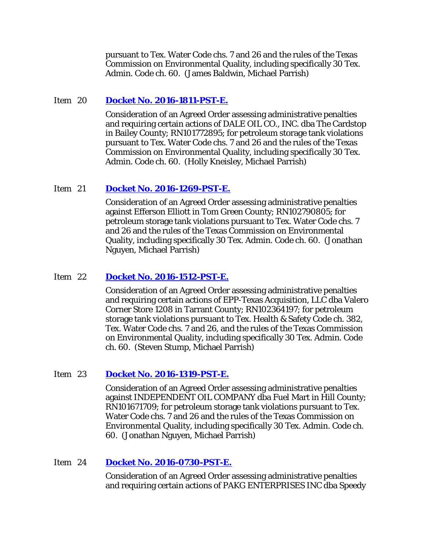pursuant to Tex. Water Code chs. 7 and 26 and the rules of the Texas Commission on Environmental Quality, including specifically 30 Tex. Admin. Code ch. 60. (James Baldwin, Michael Parrish)

#### Item 20 **[Docket No. 2016-1811-PST-E.](http://www.tceq.texas.gov/assets/public/comm_exec/agendas/comm/backup/Agendas/2017/05-10-2017/1811PST.pdf)**

Consideration of an Agreed Order assessing administrative penalties and requiring certain actions of DALE OIL CO., INC. dba The Cardstop in Bailey County; RN101772895; for petroleum storage tank violations pursuant to Tex. Water Code chs. 7 and 26 and the rules of the Texas Commission on Environmental Quality, including specifically 30 Tex. Admin. Code ch. 60. (Holly Kneisley, Michael Parrish)

#### Item 21 **[Docket No. 2016-1269-PST-E.](http://www.tceq.texas.gov/assets/public/comm_exec/agendas/comm/backup/Agendas/2017/05-10-2017/1269PST.pdf)**

Consideration of an Agreed Order assessing administrative penalties against Efferson Elliott in Tom Green County; RN102790805; for petroleum storage tank violations pursuant to Tex. Water Code chs. 7 and 26 and the rules of the Texas Commission on Environmental Quality, including specifically 30 Tex. Admin. Code ch. 60. (Jonathan Nguyen, Michael Parrish)

#### Item 22 **[Docket No. 2016-1512-PST-E.](http://www.tceq.texas.gov/assets/public/comm_exec/agendas/comm/backup/Agendas/2017/05-10-2017/1512PST.pdf)**

Consideration of an Agreed Order assessing administrative penalties and requiring certain actions of EPP-Texas Acquisition, LLC dba Valero Corner Store 1208 in Tarrant County; RN102364197; for petroleum storage tank violations pursuant to Tex. Health & Safety Code ch. 382, Tex. Water Code chs. 7 and 26, and the rules of the Texas Commission on Environmental Quality, including specifically 30 Tex. Admin. Code ch. 60. (Steven Stump, Michael Parrish)

#### Item 23 **[Docket No. 2016-1319-PST-E.](http://www.tceq.texas.gov/assets/public/comm_exec/agendas/comm/backup/Agendas/2017/05-10-2017/1319PST.pdf)**

Consideration of an Agreed Order assessing administrative penalties against INDEPENDENT OIL COMPANY dba Fuel Mart in Hill County; RN101671709; for petroleum storage tank violations pursuant to Tex. Water Code chs. 7 and 26 and the rules of the Texas Commission on Environmental Quality, including specifically 30 Tex. Admin. Code ch. 60. (Jonathan Nguyen, Michael Parrish)

#### Item 24 **[Docket No. 2016-0730-PST-E.](http://www.tceq.texas.gov/assets/public/comm_exec/agendas/comm/backup/Agendas/2017/05-10-2017/0730PST.pdf)**

Consideration of an Agreed Order assessing administrative penalties and requiring certain actions of PAKG ENTERPRISES INC dba Speedy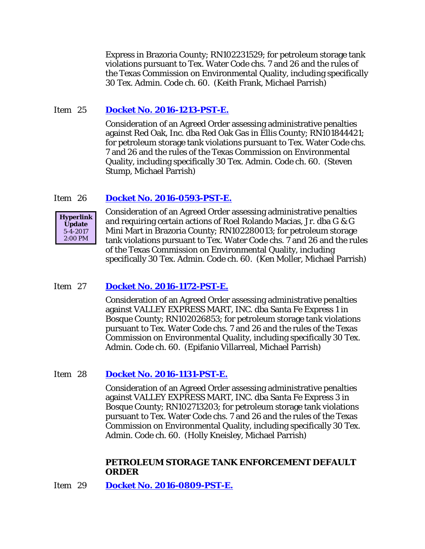Express in Brazoria County; RN102231529; for petroleum storage tank violations pursuant to Tex. Water Code chs. 7 and 26 and the rules of the Texas Commission on Environmental Quality, including specifically 30 Tex. Admin. Code ch. 60. (Keith Frank, Michael Parrish)

# Item 25 **[Docket No. 2016-1213-PST-E.](http://www.tceq.texas.gov/assets/public/comm_exec/agendas/comm/backup/Agendas/2017/05-10-2017/1213PST.pdf)**

Consideration of an Agreed Order assessing administrative penalties against Red Oak, Inc. dba Red Oak Gas in Ellis County; RN101844421; for petroleum storage tank violations pursuant to Tex. Water Code chs. 7 and 26 and the rules of the Texas Commission on Environmental Quality, including specifically 30 Tex. Admin. Code ch. 60. (Steven Stump, Michael Parrish)

# Item 26 **[Docket No. 2016-0593-PST-E.](http://www.tceq.texas.gov/assets/public/comm_exec/agendas/comm/backup/Agendas/2017/05-10-2017/0593PST.pdf)**



Consideration of an Agreed Order assessing administrative penalties and requiring certain actions of Roel Rolando Macias, Jr. dba G & G Mini Mart in Brazoria County; RN102280013; for petroleum storage tank violations pursuant to Tex. Water Code chs. 7 and 26 and the rules of the Texas Commission on Environmental Quality, including specifically 30 Tex. Admin. Code ch. 60. (Ken Moller, Michael Parrish)

## Item 27 **[Docket No. 2016-1172-PST-E.](http://www.tceq.texas.gov/assets/public/comm_exec/agendas/comm/backup/Agendas/2017/05-10-2017/1172PST.pdf)**

Consideration of an Agreed Order assessing administrative penalties against VALLEY EXPRESS MART, INC. dba Santa Fe Express 1 in Bosque County; RN102026853; for petroleum storage tank violations pursuant to Tex. Water Code chs. 7 and 26 and the rules of the Texas Commission on Environmental Quality, including specifically 30 Tex. Admin. Code ch. 60. (Epifanio Villarreal, Michael Parrish)

## Item 28 **[Docket No. 2016-1131-PST-E.](http://www.tceq.texas.gov/assets/public/comm_exec/agendas/comm/backup/Agendas/2017/05-10-2017/1131PST.pdf)**

Consideration of an Agreed Order assessing administrative penalties against VALLEY EXPRESS MART, INC. dba Santa Fe Express 3 in Bosque County; RN102713203; for petroleum storage tank violations pursuant to Tex. Water Code chs. 7 and 26 and the rules of the Texas Commission on Environmental Quality, including specifically 30 Tex. Admin. Code ch. 60. (Holly Kneisley, Michael Parrish)

#### **PETROLEUM STORAGE TANK ENFORCEMENT DEFAULT ORDER**

Item 29 **[Docket No. 2016-0809-PST-E.](http://www.tceq.texas.gov/assets/public/comm_exec/agendas/comm/backup/Agendas/2017/05-10-2017/0809PST.pdf)**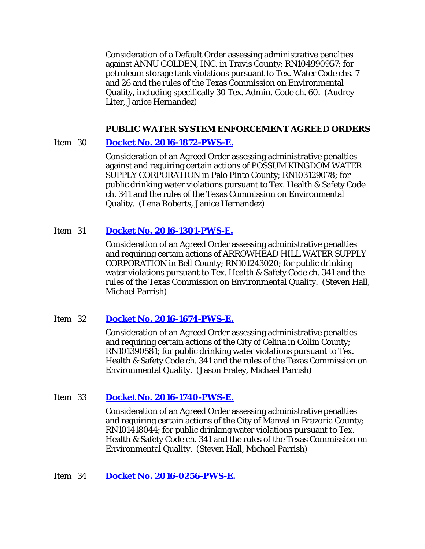Consideration of a Default Order assessing administrative penalties against ANNU GOLDEN, INC. in Travis County; RN104990957; for petroleum storage tank violations pursuant to Tex. Water Code chs. 7 and 26 and the rules of the Texas Commission on Environmental Quality, including specifically 30 Tex. Admin. Code ch. 60. (Audrey Liter, Janice Hernandez)

# **PUBLIC WATER SYSTEM ENFORCEMENT AGREED ORDERS**

# Item 30 **[Docket No. 2016-1872-PWS-E.](http://www.tceq.texas.gov/assets/public/comm_exec/agendas/comm/backup/Agendas/2017/05-10-2017/1872PWS.pdf)**

Consideration of an Agreed Order assessing administrative penalties against and requiring certain actions of POSSUM KINGDOM WATER SUPPLY CORPORATION in Palo Pinto County; RN103129078; for public drinking water violations pursuant to Tex. Health & Safety Code ch. 341 and the rules of the Texas Commission on Environmental Quality. (Lena Roberts, Janice Hernandez)

# Item 31 **[Docket No. 2016-1301-PWS-E.](http://www.tceq.texas.gov/assets/public/comm_exec/agendas/comm/backup/Agendas/2017/05-10-2017/1301PWS.pdf)**

Consideration of an Agreed Order assessing administrative penalties and requiring certain actions of ARROWHEAD HILL WATER SUPPLY CORPORATION in Bell County; RN101243020; for public drinking water violations pursuant to Tex. Health & Safety Code ch. 341 and the rules of the Texas Commission on Environmental Quality. (Steven Hall, Michael Parrish)

## Item 32 **[Docket No. 2016-1674-PWS-E.](http://www.tceq.texas.gov/assets/public/comm_exec/agendas/comm/backup/Agendas/2017/05-10-2017/1674PWS.pdf)**

Consideration of an Agreed Order assessing administrative penalties and requiring certain actions of the City of Celina in Collin County; RN101390581; for public drinking water violations pursuant to Tex. Health & Safety Code ch. 341 and the rules of the Texas Commission on Environmental Quality. (Jason Fraley, Michael Parrish)

## Item 33 **[Docket No. 2016-1740-PWS-E.](http://www.tceq.texas.gov/assets/public/comm_exec/agendas/comm/backup/Agendas/2017/05-10-2017/1740PWS.pdf)**

Consideration of an Agreed Order assessing administrative penalties and requiring certain actions of the City of Manvel in Brazoria County; RN101418044; for public drinking water violations pursuant to Tex. Health & Safety Code ch. 341 and the rules of the Texas Commission on Environmental Quality. (Steven Hall, Michael Parrish)

## Item 34 **[Docket No. 2016-0256-PWS-E.](http://www.tceq.texas.gov/assets/public/comm_exec/agendas/comm/backup/Agendas/2017/05-10-2017/0256PWS.pdf)**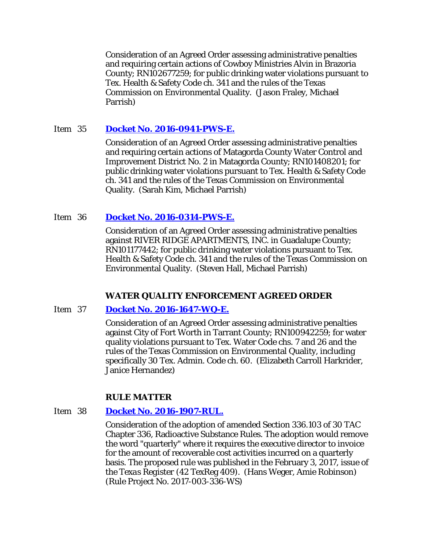Consideration of an Agreed Order assessing administrative penalties and requiring certain actions of Cowboy Ministries Alvin in Brazoria County; RN102677259; for public drinking water violations pursuant to Tex. Health & Safety Code ch. 341 and the rules of the Texas Commission on Environmental Quality. (Jason Fraley, Michael Parrish)

# Item 35 **[Docket No. 2016-0941-PWS-E.](http://www.tceq.texas.gov/assets/public/comm_exec/agendas/comm/backup/Agendas/2017/05-10-2017/0941PWS.pdf)**

Consideration of an Agreed Order assessing administrative penalties and requiring certain actions of Matagorda County Water Control and Improvement District No. 2 in Matagorda County; RN101408201; for public drinking water violations pursuant to Tex. Health & Safety Code ch. 341 and the rules of the Texas Commission on Environmental Quality. (Sarah Kim, Michael Parrish)

# Item 36 **[Docket No. 2016-0314-PWS-E.](http://www.tceq.texas.gov/assets/public/comm_exec/agendas/comm/backup/Agendas/2017/05-10-2017/0314PWS.pdf)**

Consideration of an Agreed Order assessing administrative penalties against RIVER RIDGE APARTMENTS, INC. in Guadalupe County; RN101177442; for public drinking water violations pursuant to Tex. Health & Safety Code ch. 341 and the rules of the Texas Commission on Environmental Quality. (Steven Hall, Michael Parrish)

## **WATER QUALITY ENFORCEMENT AGREED ORDER**

## Item 37 **[Docket No. 2016-1647-WQ-E.](http://www.tceq.texas.gov/assets/public/comm_exec/agendas/comm/backup/Agendas/2017/05-10-2017/1647WQ.pdf)**

Consideration of an Agreed Order assessing administrative penalties against City of Fort Worth in Tarrant County; RN100942259; for water quality violations pursuant to Tex. Water Code chs. 7 and 26 and the rules of the Texas Commission on Environmental Quality, including specifically 30 Tex. Admin. Code ch. 60. (Elizabeth Carroll Harkrider, Janice Hernandez)

## **RULE MATTER**

## Item 38 **[Docket No. 2016-1907-RUL.](http://www.tceq.texas.gov/assets/public/comm_exec/agendas/comm/backup/Agendas/2017/05-10-2017/1907RUL.pdf)**

Consideration of the adoption of amended Section 336.103 of 30 TAC Chapter 336, Radioactive Substance Rules. The adoption would remove the word "quarterly" where it requires the executive director to invoice for the amount of recoverable cost activities incurred on a quarterly basis. The proposed rule was published in the February 3, 2017, issue of the *Texas Register* (42 TexReg 409). (Hans Weger, Amie Robinson) (Rule Project No. 2017-003-336-WS)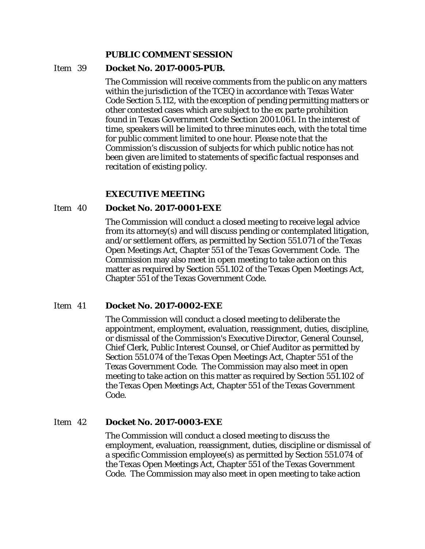#### **PUBLIC COMMENT SESSION**

#### Item 39 **Docket No. 2017-0005-PUB.**

The Commission will receive comments from the public on any matters within the jurisdiction of the TCEQ in accordance with Texas Water Code Section 5.112, with the exception of pending permitting matters or other contested cases which are subject to the ex parte prohibition found in Texas Government Code Section 2001.061. In the interest of time, speakers will be limited to three minutes each, with the total time for public comment limited to one hour. Please note that the Commission's discussion of subjects for which public notice has not been given are limited to statements of specific factual responses and recitation of existing policy.

## **EXECUTIVE MEETING**

#### Item 40 **Docket No. 2017-0001-EXE**

The Commission will conduct a closed meeting to receive legal advice from its attorney(s) and will discuss pending or contemplated litigation, and/or settlement offers, as permitted by Section 551.071 of the Texas Open Meetings Act, Chapter 551 of the Texas Government Code. The Commission may also meet in open meeting to take action on this matter as required by Section 551.102 of the Texas Open Meetings Act, Chapter 551 of the Texas Government Code.

## Item 41 **Docket No. 2017-0002-EXE**

The Commission will conduct a closed meeting to deliberate the appointment, employment, evaluation, reassignment, duties, discipline, or dismissal of the Commission's Executive Director, General Counsel, Chief Clerk, Public Interest Counsel, or Chief Auditor as permitted by Section 551.074 of the Texas Open Meetings Act, Chapter 551 of the Texas Government Code. The Commission may also meet in open meeting to take action on this matter as required by Section 551.102 of the Texas Open Meetings Act, Chapter 551 of the Texas Government Code.

#### Item 42 **Docket No. 2017-0003-EXE**

The Commission will conduct a closed meeting to discuss the employment, evaluation, reassignment, duties, discipline or dismissal of a specific Commission employee(s) as permitted by Section 551.074 of the Texas Open Meetings Act, Chapter 551 of the Texas Government Code. The Commission may also meet in open meeting to take action